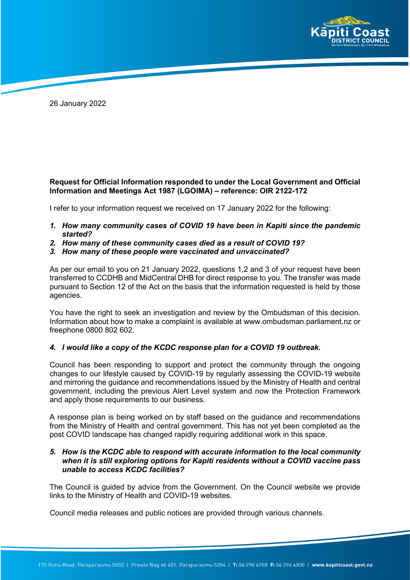

26 January 2022

## **Request for Official Information responded to under the Local Government and Official Information and Meetings Act 1987 (LGOIMA) – reference: OIR 2122-172**

I refer to your information request we received on 17 January 2022 for the following:

- *1. How many community cases of COVID 19 have been in Kapiti since the pandemic started?*
- *2. How many of these community cases died as a result of COVID 19?*
- *3. How many of these people were vaccinated and unvaccinated?*

As per our email to you on 21 January 2022, questions 1,2 and 3 of your request have been transferred to CCDHB and MidCentral DHB for direct response to you. The transfer was made pursuant to Section 12 of the Act on the basis that the information requested is held by those agencies.

You have the right to seek an investigation and review by the Ombudsman of this decision. Information about how to make a complaint is available at www.ombudsman.parliament.nz or freephone 0800 802 602.

## *4. I would like a copy of the KCDC response plan for a COVID 19 outbreak.*

Council has been responding to support and protect the community through the ongoing changes to our lifestyle caused by COVID-19 by regularly assessing the COVID-19 website and mirroring the guidance and recommendations issued by the Ministry of Health and central government, including the previous Alert Level system and now the Protection Framework and apply those requirements to our business.

A response plan is being worked on by staff based on the guidance and recommendations from the Ministry of Health and central government. This has not yet been completed as the post COVID landscape has changed rapidly requiring additional work in this space.

## *5. How is the KCDC able to respond with accurate information to the local community when it is still exploring options for Kapiti residents without a COVID vaccine pass unable to access KCDC facilities?*

The Council is guided by advice from the Government. On the Council website we provide links to the Ministry of Health and COVID-19 websites.

Council media releases and public notices are provided through various channels.